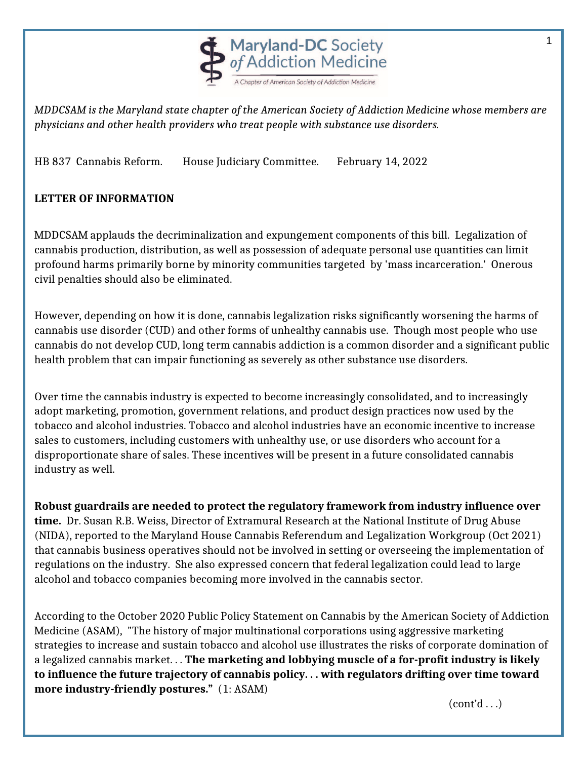

*MDDCSAM is the Maryland state chapter of the American Society of Addiction Medicine whose members are physicians and other health providers who treat people with substance use disorders.*

HB 837 Cannabis Reform. House Judiciary Committee. February 14, 2022

## **LETTER OF INFORMATION**

MDDCSAM applauds the decriminalization and expungement components of this bill. Legalization of cannabis production, distribution, as well as possession of adequate personal use quantities can limit profound harms primarily borne by minority communities targeted by 'mass incarceration.' Onerous civil penalties should also be eliminated.

However, depending on how it is done, cannabis legalization risks significantly worsening the harms of cannabis use disorder (CUD) and other forms of unhealthy cannabis use. Though most people who use cannabis do not develop CUD, long term cannabis addiction is a common disorder and a significant public health problem that can impair functioning as severely as other substance use disorders.

Over time the cannabis industry is expected to become increasingly consolidated, and to increasingly adopt marketing, promotion, government relations, and product design practices now used by the tobacco and alcohol industries. Tobacco and alcohol industries have an economic incentive to increase sales to customers, including customers with unhealthy use, or use disorders who account for a disproportionate share of sales. These incentives will be present in a future consolidated cannabis industry as well.

**Robust guardrails are needed to protect the regulatory framework from industry influence over time.** Dr. Susan R.B. Weiss, Director of Extramural Research at the National Institute of Drug Abuse (NIDA), reported to the Maryland House Cannabis Referendum and Legalization Workgroup (Oct 2021) that cannabis business operatives should not be involved in setting or overseeing the implementation of regulations on the industry. She also expressed concern that federal legalization could lead to large alcohol and tobacco companies becoming more involved in the cannabis sector.

According to the October 2020 Public Policy Statement on Cannabis by the American Society of Addiction Medicine (ASAM), "The history of major multinational corporations using aggressive marketing strategies to increase and sustain tobacco and alcohol use illustrates the risks of corporate domination of a legalized cannabis market. . . **The marketing and lobbying muscle of a for-profit industry is likely to influence the future trajectory of cannabis policy. . . with regulators drifting over time toward more industry-friendly postures."** (1: ASAM)

 $(cont'd \dots)$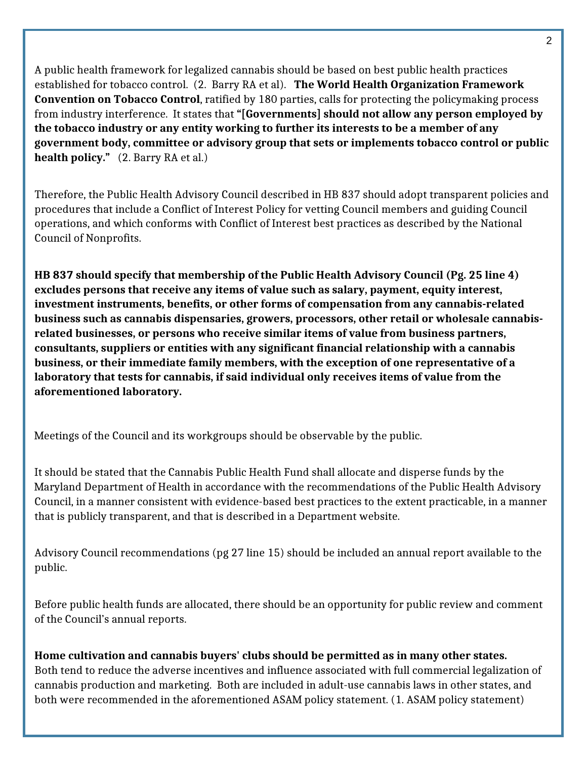A public health framework for legalized cannabis should be based on best public health practices established for tobacco control. (2. Barry RA et al). **The World Health Organization Framework Convention on Tobacco Control**, ratified by 180 parties, calls for protecting the policymaking process from industry interference. It states that **"[Governments] should not allow any person employed by the tobacco industry or any entity working to further its interests to be a member of any government body, committee or advisory group that sets or implements tobacco control or public health policy."** (2. Barry RA et al.)

Therefore, the Public Health Advisory Council described in HB 837 should adopt transparent policies and procedures that include a Conflict of Interest Policy for vetting Council members and guiding Council operations, and which conforms with Conflict of Interest best practices as described by the National Council of Nonprofits.

**HB 837 should specify that membership of the Public Health Advisory Council (Pg. 25 line 4) excludes persons that receive any items of value such as salary, payment, equity interest, investment instruments, benefits, or other forms of compensation from any cannabis-related business such as cannabis dispensaries, growers, processors, other retail or wholesale cannabisrelated businesses, or persons who receive similar items of value from business partners, consultants, suppliers or entities with any significant financial relationship with a cannabis business, or their immediate family members, with the exception of one representative of a laboratory that tests for cannabis, if said individual only receives items of value from the aforementioned laboratory.** 

Meetings of the Council and its workgroups should be observable by the public.

It should be stated that the Cannabis Public Health Fund shall allocate and disperse funds by the Maryland Department of Health in accordance with the recommendations of the Public Health Advisory Council, in a manner consistent with evidence-based best practices to the extent practicable, in a manner that is publicly transparent, and that is described in a Department website.

Advisory Council recommendations (pg 27 line 15) should be included an annual report available to the public.

Before public health funds are allocated, there should be an opportunity for public review and comment of the Council's annual reports.

**Home cultivation and cannabis buyers' clubs should be permitted as in many other states.** Both tend to reduce the adverse incentives and influence associated with full commercial legalization of cannabis production and marketing. Both are included in adult-use cannabis laws in other states, and both were recommended in the aforementioned ASAM policy statement. (1. ASAM policy statement)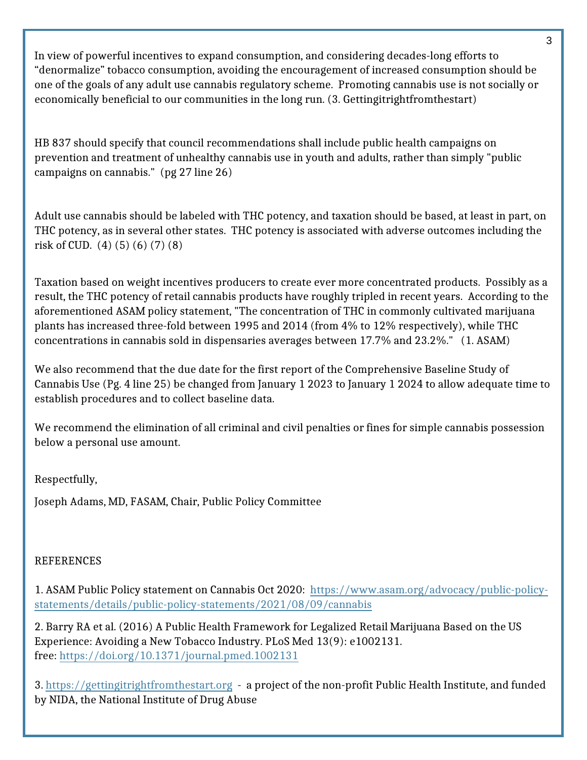In view of powerful incentives to expand consumption, and considering decades-long efforts to "denormalize" tobacco consumption, avoiding the encouragement of increased consumption should be one of the goals of any adult use cannabis regulatory scheme. Promoting cannabis use is not socially or economically beneficial to our communities in the long run. (3. Gettingitrightfromthestart)

HB 837 should specify that council recommendations shall include public health campaigns on prevention and treatment of unhealthy cannabis use in youth and adults, rather than simply "public campaigns on cannabis." (pg 27 line 26)

Adult use cannabis should be labeled with THC potency, and taxation should be based, at least in part, on THC potency, as in several other states. THC potency is associated with adverse outcomes including the risk of CUD. (4) (5) (6) (7) (8)

Taxation based on weight incentives producers to create ever more concentrated products. Possibly as a result, the THC potency of retail cannabis products have roughly tripled in recent years. According to the aforementioned ASAM policy statement, "The concentration of THC in commonly cultivated marijuana plants has increased three-fold between 1995 and 2014 (from 4% to 12% respectively), while THC concentrations in cannabis sold in dispensaries averages between 17.7% and 23.2%." (1. ASAM)

We also recommend that the due date for the first report of the Comprehensive Baseline Study of Cannabis Use (Pg. 4 line 25) be changed from January 1 2023 to January 1 2024 to allow adequate time to establish procedures and to collect baseline data.

We recommend the elimination of all criminal and civil penalties or fines for simple cannabis possession below a personal use amount.

Respectfully,

Joseph Adams, MD, FASAM, Chair, Public Policy Committee

## **REFERENCES**

1. ASAM Public Policy statement on Cannabis Oct 2020: [https://www.asam.org/advocacy/public-policy](https://www.asam.org/advocacy/public-policy-statements/details/public-policy-statements/2021/08/09/cannabis)[statements/details/public-policy-statements/2021/08/09/cannabis](https://www.asam.org/advocacy/public-policy-statements/details/public-policy-statements/2021/08/09/cannabis)

2. Barry RA et al. (2016) A Public Health Framework for Legalized Retail Marijuana Based on the US Experience: Avoiding a New Tobacco Industry. PLoS Med 13(9): e1002131. free:<https://doi.org/10.1371/journal.pmed.1002131>

3. <https://gettingitrightfromthestart.org>- a project of the non-profit Public Health Institute, and funded by NIDA, the National Institute of Drug Abuse